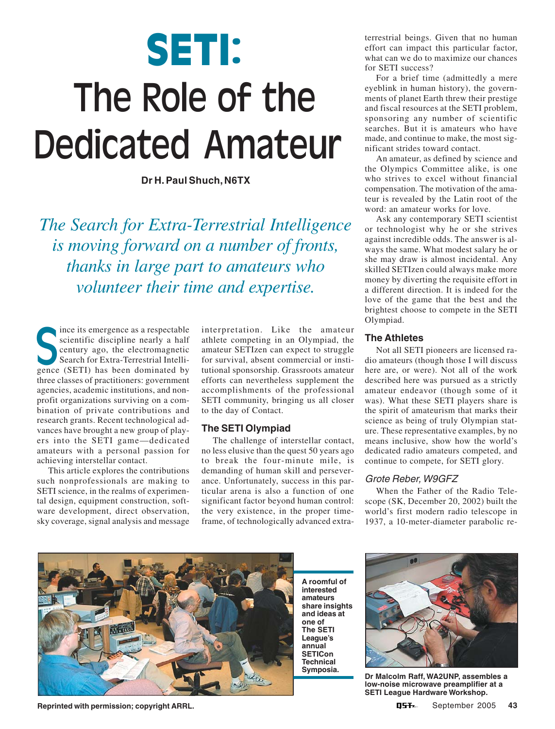# **SETI:** The Role of the Dedicated Amateur

**Dr H. Paul Shuch, N6TX**

*The Search for Extra-Terrestrial Intelligence is moving forward on a number of fronts, thanks in large part to amateurs who volunteer their time and expertise.*

ince its emergence as a respectable scientific discipline nearly a half century ago, the electromagnetic Search for Extra-Terrestrial Intelliince its emergence as a respectable<br>scientific discipline nearly a half<br>century ago, the electromagnetic<br>Search for Extra-Terrestrial Intelli-<br>gence (SETI) has been dominated by three classes of practitioners: government agencies, academic institutions, and nonprofit organizations surviving on a combination of private contributions and research grants. Recent technological advances have brought a new group of players into the SETI game—dedicated amateurs with a personal passion for achieving interstellar contact.

This article explores the contributions such nonprofessionals are making to SETI science, in the realms of experimental design, equipment construction, software development, direct observation, sky coverage, signal analysis and message

interpretation. Like the amateur athlete competing in an Olympiad, the amateur SETIzen can expect to struggle for survival, absent commercial or institutional sponsorship. Grassroots amateur efforts can nevertheless supplement the accomplishments of the professional SETI community, bringing us all closer to the day of Contact.

# **The SETI Olympiad**

The challenge of interstellar contact, no less elusive than the quest 50 years ago to break the four-minute mile, is demanding of human skill and perseverance. Unfortunately, success in this particular arena is also a function of one significant factor beyond human control: the very existence, in the proper timeframe, of technologically advanced extraterrestrial beings. Given that no human effort can impact this particular factor, what can we do to maximize our chances for SETI success?

For a brief time (admittedly a mere eyeblink in human history), the governments of planet Earth threw their prestige and fiscal resources at the SETI problem, sponsoring any number of scientific searches. But it is amateurs who have made, and continue to make, the most significant strides toward contact.

An amateur, as defined by science and the Olympics Committee alike, is one who strives to excel without financial compensation. The motivation of the amateur is revealed by the Latin root of the word: an amateur works for love.

Ask any contemporary SETI scientist or technologist why he or she strives against incredible odds. The answer is always the same. What modest salary he or she may draw is almost incidental. Any skilled SETIzen could always make more money by diverting the requisite effort in a different direction. It is indeed for the love of the game that the best and the brightest choose to compete in the SETI Olympiad.

#### **The Athletes**

Not all SETI pioneers are licensed radio amateurs (though those I will discuss here are, or were). Not all of the work described here was pursued as a strictly amateur endeavor (though some of it was). What these SETI players share is the spirit of amateurism that marks their science as being of truly Olympian stature. These representative examples, by no means inclusive, show how the world's dedicated radio amateurs competed, and continue to compete, for SETI glory.

# Grote Reber, W9GFZ

When the Father of the Radio Telescope (SK, December 20, 2002) built the world's first modern radio telescope in 1937, a 10-meter-diameter parabolic re-



**Reprinted with permission; copyright ARRL.**

**A roomful of interested amateurs share insights and ideas at one of The SETI League's annual SETICon Technical Symposia.**



**Dr Malcolm Raff, WA2UNP, assembles a low-noise microwave preamplifier at a SETI League Hardware Workshop.**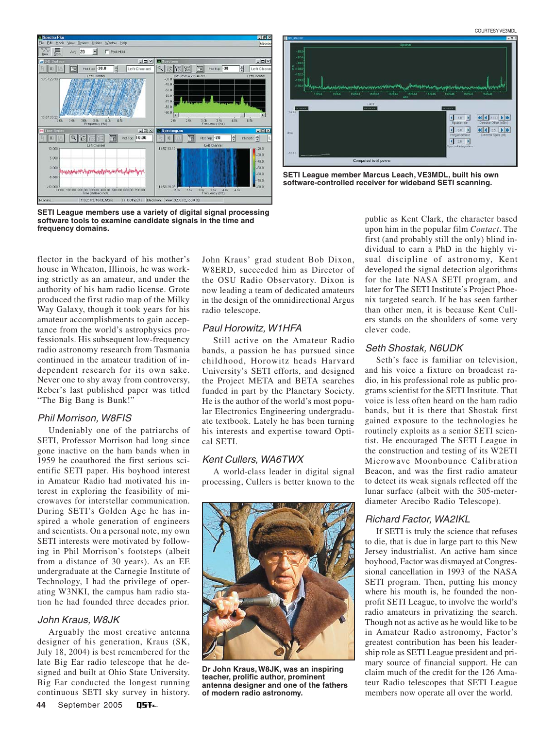

**SETI League members use a variety of digital signal processing software tools to examine candidate signals in the time and frequency domains.**

 $47.07$ **K 4 TAS D ID**  $450 - 3$  $120 - 1$ Computed total powe

**SETI League member Marcus Leach, VE3MDL, built his own software-controlled receiver for wideband SETI scanning.**

flector in the backyard of his mother's house in Wheaton, Illinois, he was working strictly as an amateur, and under the authority of his ham radio license. Grote produced the first radio map of the Milky Way Galaxy, though it took years for his amateur accomplishments to gain acceptance from the world's astrophysics professionals. His subsequent low-frequency radio astronomy research from Tasmania continued in the amateur tradition of independent research for its own sake. Never one to shy away from controversy, Reber's last published paper was titled "The Big Bang is Bunk!"

#### Phil Morrison, W8FIS

Undeniably one of the patriarchs of SETI, Professor Morrison had long since gone inactive on the ham bands when in 1959 he coauthored the first serious scientific SETI paper. His boyhood interest in Amateur Radio had motivated his interest in exploring the feasibility of microwaves for interstellar communication. During SETI's Golden Age he has inspired a whole generation of engineers and scientists. On a personal note, my own SETI interests were motivated by following in Phil Morrison's footsteps (albeit from a distance of 30 years). As an EE undergraduate at the Carnegie Institute of Technology, I had the privilege of operating W3NKI, the campus ham radio station he had founded three decades prior.

#### John Kraus, W8JK

Arguably the most creative antenna designer of his generation, Kraus (SK, July 18, 2004) is best remembered for the late Big Ear radio telescope that he designed and built at Ohio State University. Big Ear conducted the longest running continuous SETI sky survey in history. John Kraus' grad student Bob Dixon, W8ERD, succeeded him as Director of the OSU Radio Observatory. Dixon is now leading a team of dedicated amateurs in the design of the omnidirectional Argus radio telescope.

#### Paul Horowitz, W1HFA

Still active on the Amateur Radio bands, a passion he has pursued since childhood, Horowitz heads Harvard University's SETI efforts, and designed the Project META and BETA searches funded in part by the Planetary Society. He is the author of the world's most popular Electronics Engineering undergraduate textbook. Lately he has been turning his interests and expertise toward Optical SETI.

#### Kent Cullers, WA6TWX

A world-class leader in digital signal processing, Cullers is better known to the



**Dr John Kraus, W8JK, was an inspiring teacher, prolific author, prominent antenna designer and one of the fathers of modern radio astronomy.**

public as Kent Clark, the character based upon him in the popular film *Contact*. The first (and probably still the only) blind individual to earn a PhD in the highly visual discipline of astronomy, Kent developed the signal detection algorithms for the late NASA SETI program, and later for The SETI Institute's Project Phoenix targeted search. If he has seen farther than other men, it is because Kent Cullers stands on the shoulders of some very clever code.

#### Seth Shostak, N6UDK

Seth's face is familiar on television, and his voice a fixture on broadcast radio, in his professional role as public programs scientist for the SETI Institute. That voice is less often heard on the ham radio bands, but it is there that Shostak first gained exposure to the technologies he routinely exploits as a senior SETI scientist. He encouraged The SETI League in the construction and testing of its W2ETI Microwave Moonbounce Calibration Beacon, and was the first radio amateur to detect its weak signals reflected off the lunar surface (albeit with the 305-meterdiameter Arecibo Radio Telescope).

#### Richard Factor, WA2IKL

If SETI is truly the science that refuses to die, that is due in large part to this New Jersey industrialist. An active ham since boyhood, Factor was dismayed at Congressional cancellation in 1993 of the NASA SETI program. Then, putting his money where his mouth is, he founded the nonprofit SETI League, to involve the world's radio amateurs in privatizing the search. Though not as active as he would like to be in Amateur Radio astronomy, Factor's greatest contribution has been his leadership role as SETI League president and primary source of financial support. He can claim much of the credit for the 126 Amateur Radio telescopes that SETI League members now operate all over the world.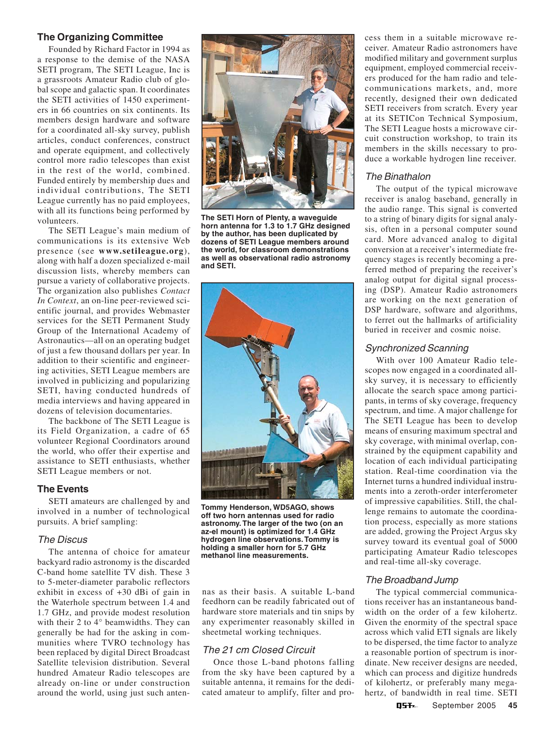#### **The Organizing Committee**

Founded by Richard Factor in 1994 as a response to the demise of the NASA SETI program, The SETI League, Inc is a grassroots Amateur Radio club of global scope and galactic span. It coordinates the SETI activities of 1450 experimenters in 66 countries on six continents. Its members design hardware and software for a coordinated all-sky survey, publish articles, conduct conferences, construct and operate equipment, and collectively control more radio telescopes than exist in the rest of the world, combined. Funded entirely by membership dues and individual contributions, The SETI League currently has no paid employees, with all its functions being performed by volunteers.

The SETI League's main medium of communications is its extensive Web presence (see **www.setileague.org**), along with half a dozen specialized e-mail discussion lists, whereby members can pursue a variety of collaborative projects. The organization also publishes *Contact In Context*, an on-line peer-reviewed scientific journal, and provides Webmaster services for the SETI Permanent Study Group of the International Academy of Astronautics—all on an operating budget of just a few thousand dollars per year. In addition to their scientific and engineering activities, SETI League members are involved in publicizing and popularizing SETI, having conducted hundreds of media interviews and having appeared in dozens of television documentaries.

The backbone of The SETI League is its Field Organization, a cadre of 65 volunteer Regional Coordinators around the world, who offer their expertise and assistance to SETI enthusiasts, whether SETI League members or not.

#### **The Events**

SETI amateurs are challenged by and involved in a number of technological pursuits. A brief sampling:

#### The Discus

The antenna of choice for amateur backyard radio astronomy is the discarded C-band home satellite TV dish. These 3 to 5-meter-diameter parabolic reflectors exhibit in excess of +30 dBi of gain in the Waterhole spectrum between 1.4 and 1.7 GHz, and provide modest resolution with their 2 to 4° beamwidths. They can generally be had for the asking in communities where TVRO technology has been replaced by digital Direct Broadcast Satellite television distribution. Several hundred Amateur Radio telescopes are already on-line or under construction around the world, using just such anten-



**The SETI Horn of Plenty, a waveguide horn antenna for 1.3 to 1.7 GHz designed by the author, has been duplicated by dozens of SETI League members around the world, for classroom demonstrations as well as observational radio astronomy and SETI.**



**Tommy Henderson, WD5AGO, shows off two horn antennas used for radio astronomy. The larger of the two (on an az-el mount) is optimized for 1.4 GHz hydrogen line observations. Tommy is holding a smaller horn for 5.7 GHz methanol line measurements.**

nas as their basis. A suitable L-band feedhorn can be readily fabricated out of hardware store materials and tin snips by any experimenter reasonably skilled in sheetmetal working techniques.

# The 21 cm Closed Circuit

Once those L-band photons falling from the sky have been captured by a suitable antenna, it remains for the dedicated amateur to amplify, filter and pro-

cess them in a suitable microwave receiver. Amateur Radio astronomers have modified military and government surplus equipment, employed commercial receivers produced for the ham radio and telecommunications markets, and, more recently, designed their own dedicated SETI receivers from scratch. Every year at its SETICon Technical Symposium, The SETI League hosts a microwave circuit construction workshop, to train its members in the skills necessary to produce a workable hydrogen line receiver.

#### The Binathalon

The output of the typical microwave receiver is analog baseband, generally in the audio range. This signal is converted to a string of binary digits for signal analysis, often in a personal computer sound card. More advanced analog to digital conversion at a receiver's intermediate frequency stages is recently becoming a preferred method of preparing the receiver's analog output for digital signal processing (DSP). Amateur Radio astronomers are working on the next generation of DSP hardware, software and algorithms, to ferret out the hallmarks of artificiality buried in receiver and cosmic noise.

#### Synchronized Scanning

With over 100 Amateur Radio telescopes now engaged in a coordinated allsky survey, it is necessary to efficiently allocate the search space among participants, in terms of sky coverage, frequency spectrum, and time. A major challenge for The SETI League has been to develop means of ensuring maximum spectral and sky coverage, with minimal overlap, constrained by the equipment capability and location of each individual participating station. Real-time coordination via the Internet turns a hundred individual instruments into a zeroth-order interferometer of impressive capabilities. Still, the challenge remains to automate the coordination process, especially as more stations are added, growing the Project Argus sky survey toward its eventual goal of 5000 participating Amateur Radio telescopes and real-time all-sky coverage.

#### The Broadband Jump

The typical commercial communications receiver has an instantaneous bandwidth on the order of a few kilohertz. Given the enormity of the spectral space across which valid ETI signals are likely to be dispersed, the time factor to analyze a reasonable portion of spectrum is inordinate. New receiver designs are needed, which can process and digitize hundreds of kilohertz, or preferably many megahertz, of bandwidth in real time. SETI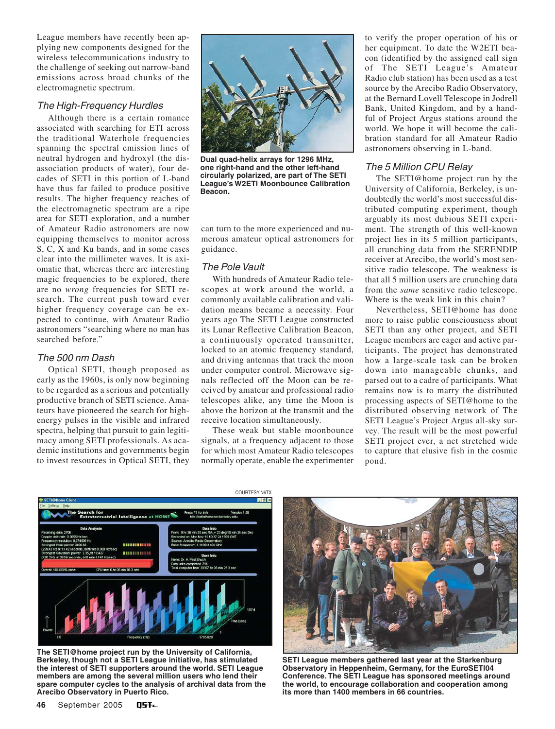League members have recently been applying new components designed for the wireless telecommunications industry to the challenge of seeking out narrow-band emissions across broad chunks of the electromagnetic spectrum.

#### The High-Frequency Hurdles

Although there is a certain romance associated with searching for ETI across the traditional Waterhole frequencies spanning the spectral emission lines of neutral hydrogen and hydroxyl (the disassociation products of water), four decades of SETI in this portion of L-band have thus far failed to produce positive results. The higher frequency reaches of the electromagnetic spectrum are a ripe area for SETI exploration, and a number of Amateur Radio astronomers are now equipping themselves to monitor across S, C, X and Ku bands, and in some cases clear into the millimeter waves. It is axiomatic that, whereas there are interesting magic frequencies to be explored, there are no *wrong* frequencies for SETI research. The current push toward ever higher frequency coverage can be expected to continue, with Amateur Radio astronomers "searching where no man has searched before."

#### The 500 nm Dash

Optical SETI, though proposed as early as the 1960s, is only now beginning to be regarded as a serious and potentially productive branch of SETI science. Amateurs have pioneered the search for highenergy pulses in the visible and infrared spectra, helping that pursuit to gain legitimacy among SETI professionals. As academic institutions and governments begin to invest resources in Optical SETI, they



**Dual quad-helix arrays for 1296 MHz, one right-hand and the other left-hand circularly polarized, are part of The SETI League's W2ETI Moonbounce Calibration Beacon.**

can turn to the more experienced and numerous amateur optical astronomers for guidance.

#### The Pole Vault

With hundreds of Amateur Radio telescopes at work around the world, a commonly available calibration and validation means became a necessity. Four years ago The SETI League constructed its Lunar Reflective Calibration Beacon, a continuously operated transmitter, locked to an atomic frequency standard, and driving antennas that track the moon under computer control. Microwave signals reflected off the Moon can be received by amateur and professional radio telescopes alike, any time the Moon is above the horizon at the transmit and the receive location simultaneously.

These weak but stable moonbounce signals, at a frequency adjacent to those for which most Amateur Radio telescopes normally operate, enable the experimenter to verify the proper operation of his or her equipment. To date the W2ETI beacon (identified by the assigned call sign of The SETI League's Amateur Radio club station) has been used as a test source by the Arecibo Radio Observatory, at the Bernard Lovell Telescope in Jodrell Bank, United Kingdom, and by a handful of Project Argus stations around the world. We hope it will become the calibration standard for all Amateur Radio astronomers observing in L-band.

#### The 5 Million CPU Relay

The SETI@home project run by the University of California, Berkeley, is undoubtedly the world's most successful distributed computing experiment, though arguably its most dubious SETI experiment. The strength of this well-known project lies in its 5 million participants, all crunching data from the SERENDIP receiver at Arecibo, the world's most sensitive radio telescope. The weakness is that all 5 million users are crunching data from the *same* sensitive radio telescope. Where is the weak link in this chain?

Nevertheless, SETI@home has done more to raise public consciousness about SETI than any other project, and SETI League members are eager and active participants. The project has demonstrated how a large-scale task can be broken down into manageable chunks, and parsed out to a cadre of participants. What remains now is to marry the distributed processing aspects of SETI@home to the distributed observing network of The SETI League's Project Argus all-sky survey. The result will be the most powerful SETI project ever, a net stretched wide to capture that elusive fish in the cosmic pond.



**The SETI@home project run by the University of California, Berkeley, though not a SETI League initiative, has stimulated the interest of SETI supporters around the world. SETI League members are among the several million users who lend their spare computer cycles to the analysis of archival data from the Arecibo Observatory in Puerto Rico.**



**SETI League members gathered last year at the Starkenburg Observatory in Heppenheim, Germany, for the EuroSETI04 Conference. The SETI League has sponsored meetings around the world, to encourage collaboration and cooperation among its more than 1400 members in 66 countries.**